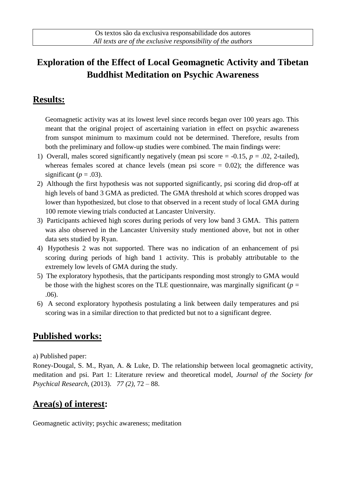# **Exploration of the Effect of Local Geomagnetic Activity and Tibetan Buddhist Meditation on Psychic Awareness**

#### **Results:**

Geomagnetic activity was at its lowest level since records began over 100 years ago. This meant that the original project of ascertaining variation in effect on psychic awareness from sunspot minimum to maximum could not be determined. Therefore, results from both the preliminary and follow-up studies were combined. The main findings were:

- 1) Overall, males scored significantly negatively (mean psi score  $= -0.15$ ,  $p = .02$ , 2-tailed), whereas females scored at chance levels (mean psi score  $= 0.02$ ); the difference was significant ( $p = .03$ ).
- 2) Although the first hypothesis was not supported significantly, psi scoring did drop-off at high levels of band 3 GMA as predicted. The GMA threshold at which scores dropped was lower than hypothesized, but close to that observed in a recent study of local GMA during 100 remote viewing trials conducted at Lancaster University.
- 3) Participants achieved high scores during periods of very low band 3 GMA. This pattern was also observed in the Lancaster University study mentioned above, but not in other data sets studied by Ryan.
- 4) Hypothesis 2 was not supported. There was no indication of an enhancement of psi scoring during periods of high band 1 activity. This is probably attributable to the extremely low levels of GMA during the study.
- 5) The exploratory hypothesis, that the participants responding most strongly to GMA would be those with the highest scores on the TLE questionnaire, was marginally significant ( $p =$ .06).
- 6) A second exploratory hypothesis postulating a link between daily temperatures and psi scoring was in a similar direction to that predicted but not to a significant degree.

### **Published works:**

a) Published paper:

Roney-Dougal, S. M., Ryan, A. & Luke, D. The relationship between local geomagnetic activity, meditation and psi. Part 1: Literature review and theoretical model, *Journal of the Society for Psychical Research,* (2013). *77 (2),* 72 – 88.

# **Area(s) of interest:**

Geomagnetic activity; psychic awareness; meditation